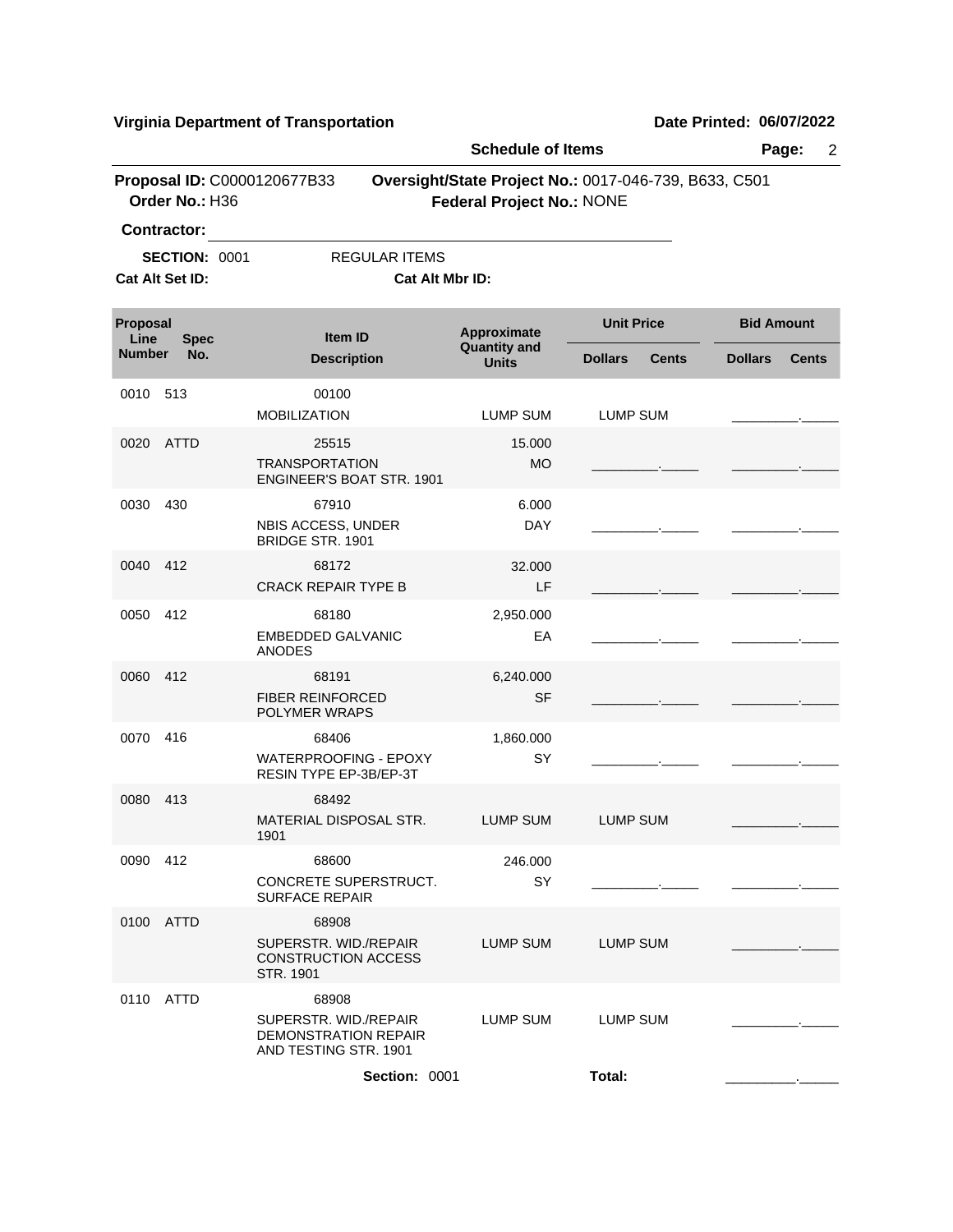**Virginia Department of Transportation Date Printed: 06/07/2022**

|                                 |                                         |                                                                                        |                                         |                                                                                           | <b>Schedule of Items</b><br>Page:<br>$\overline{2}$ |              |                   |              |
|---------------------------------|-----------------------------------------|----------------------------------------------------------------------------------------|-----------------------------------------|-------------------------------------------------------------------------------------------|-----------------------------------------------------|--------------|-------------------|--------------|
|                                 | Order No.: H36<br>Contractor:           | Proposal ID: C0000120677B33                                                            |                                         | Oversight/State Project No.: 0017-046-739, B633, C501<br><b>Federal Project No.: NONE</b> |                                                     |              |                   |              |
|                                 | <b>SECTION: 0001</b><br>Cat Alt Set ID: |                                                                                        | <b>REGULAR ITEMS</b><br>Cat Alt Mbr ID: |                                                                                           |                                                     |              |                   |              |
| Proposal<br>Line<br><b>Spec</b> |                                         | Item ID                                                                                |                                         | Approximate                                                                               | <b>Unit Price</b>                                   |              | <b>Bid Amount</b> |              |
| <b>Number</b>                   | No.                                     | <b>Description</b>                                                                     |                                         | <b>Quantity and</b><br><b>Units</b>                                                       | <b>Dollars</b>                                      | <b>Cents</b> | <b>Dollars</b>    | <b>Cents</b> |
| 0010                            | 513                                     | 00100<br><b>MOBILIZATION</b>                                                           |                                         | <b>LUMP SUM</b>                                                                           | <b>LUMP SUM</b>                                     |              |                   |              |
| 0020                            | <b>ATTD</b>                             | 25515<br><b>TRANSPORTATION</b>                                                         | ENGINEER'S BOAT STR. 1901               | 15.000<br><b>MO</b>                                                                       |                                                     |              |                   |              |
| 0030                            | 430                                     | 67910<br>NBIS ACCESS, UNDER<br><b>BRIDGE STR. 1901</b>                                 |                                         | 6.000<br><b>DAY</b>                                                                       |                                                     |              |                   |              |
| 0040                            | 412                                     | 68172<br><b>CRACK REPAIR TYPE B</b>                                                    |                                         | 32.000<br>LF                                                                              |                                                     |              |                   |              |
| 0050                            | 412                                     | 68180<br><b>EMBEDDED GALVANIC</b><br><b>ANODES</b>                                     |                                         | 2,950.000<br>EA                                                                           |                                                     |              |                   |              |
| 0060                            | 412                                     | 68191<br><b>FIBER REINFORCED</b><br>POLYMER WRAPS                                      |                                         | 6,240.000<br><b>SF</b>                                                                    |                                                     |              |                   |              |
| 0070                            | 416                                     | 68406<br>WATERPROOFING - EPOXY<br>RESIN TYPE EP-3B/EP-3T                               |                                         | 1,860.000<br>SY                                                                           |                                                     |              |                   |              |
| 0080                            | 413                                     | 68492<br>MATERIAL DISPOSAL STR.<br>1901                                                |                                         | LUMP SUM                                                                                  | <b>LUMP SUM</b>                                     |              |                   |              |
| 0090 412                        |                                         | 68600<br>CONCRETE SUPERSTRUCT.<br><b>SURFACE REPAIR</b>                                |                                         | 246.000<br>SY                                                                             |                                                     |              |                   |              |
| 0100                            | ATTD                                    | 68908<br>SUPERSTR, WID./REPAIR<br><b>CONSTRUCTION ACCESS</b><br>STR. 1901              |                                         | <b>LUMP SUM</b>                                                                           | <b>LUMP SUM</b>                                     |              |                   |              |
| 0110                            | ATTD                                    | 68908<br>SUPERSTR. WID./REPAIR<br><b>DEMONSTRATION REPAIR</b><br>AND TESTING STR. 1901 |                                         | <b>LUMP SUM</b>                                                                           | LUMP SUM                                            |              |                   |              |
|                                 |                                         |                                                                                        | Section: 0001                           |                                                                                           | Total:                                              |              |                   |              |